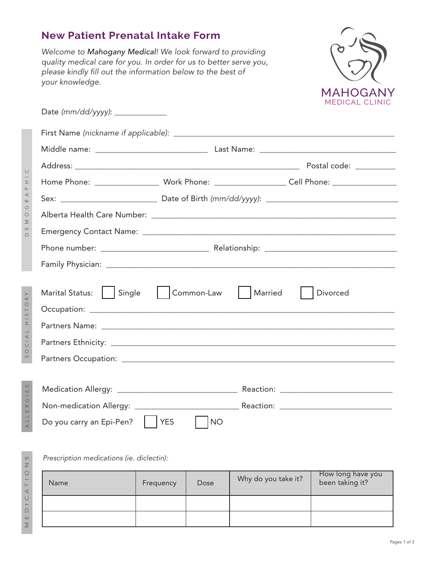## **New Patient Prenatal Intake Form**

Welcome to Mahogany Medical! We look forward to providing quality medical care for you. In order for us to better serve you, please kindly fill out the information below to the best of your knowledge.



| Home Phone: _____________________ Work Phone: _____________________Cell Phone: ____________________ |            |                     |
|-----------------------------------------------------------------------------------------------------|------------|---------------------|
|                                                                                                     |            |                     |
|                                                                                                     |            |                     |
|                                                                                                     |            |                     |
|                                                                                                     |            |                     |
|                                                                                                     |            |                     |
| Marital Status:     Single                                                                          | Common-Law | Married<br>Divorced |
|                                                                                                     |            |                     |
|                                                                                                     |            |                     |
|                                                                                                     |            |                     |
|                                                                                                     |            |                     |
|                                                                                                     |            |                     |
|                                                                                                     |            |                     |

## Prescription medications (ie. diclectin):

| Name | Frequency | Dose | Why do you take it? | How long have you<br>been taking it? |
|------|-----------|------|---------------------|--------------------------------------|
|      |           |      |                     |                                      |
|      |           |      |                     |                                      |

 $\bigcirc$ 

SOCIAL HISTORY SOCIAL HISTORY

 $\circ$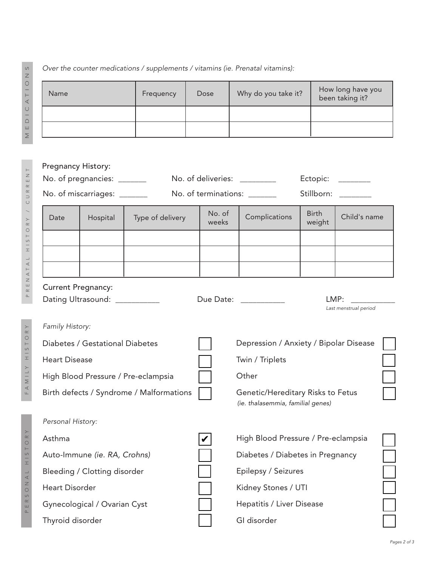## Over the counter medications / supplements / vitamins (ie. Prenatal vitamins):

| Name | Frequency | Dose | Why do you take it? | How long have you<br>been taking it? |
|------|-----------|------|---------------------|--------------------------------------|
|      |           |      |                     |                                      |
|      |           |      |                     |                                      |

| Pregnancy History:                  | No. of pregnancies: ______                                  |                                          | No. of deliveries: _________           | No. of terminations: ______                                            | Ectopic:               | Stillborn:                    |  |
|-------------------------------------|-------------------------------------------------------------|------------------------------------------|----------------------------------------|------------------------------------------------------------------------|------------------------|-------------------------------|--|
|                                     | No. of miscarriages: _______                                |                                          |                                        |                                                                        |                        |                               |  |
| Date                                | Hospital                                                    | Type of delivery                         | No. of<br>weeks                        | Complications                                                          | <b>Birth</b><br>weight | Child's name                  |  |
|                                     |                                                             |                                          |                                        |                                                                        |                        |                               |  |
|                                     |                                                             |                                          |                                        |                                                                        |                        |                               |  |
|                                     |                                                             |                                          |                                        |                                                                        |                        |                               |  |
|                                     | <b>Current Pregnancy:</b><br>Dating Ultrasound: ___________ |                                          |                                        | Due Date: ___________                                                  |                        | LMP:<br>Last menstrual period |  |
| Family History:                     |                                                             |                                          |                                        |                                                                        |                        |                               |  |
| Diabetes / Gestational Diabetes     |                                                             |                                          | Depression / Anxiety / Bipolar Disease |                                                                        |                        |                               |  |
| <b>Heart Disease</b>                |                                                             |                                          | Twin / Triplets                        |                                                                        |                        |                               |  |
| High Blood Pressure / Pre-eclampsia |                                                             |                                          | Other                                  |                                                                        |                        |                               |  |
|                                     |                                                             | Birth defects / Syndrome / Malformations |                                        | Genetic/Hereditary Risks to Fetus<br>(ie. thalasemmia, familial genes) |                        |                               |  |
| Personal History:                   |                                                             |                                          |                                        |                                                                        |                        |                               |  |
| Asthma                              |                                                             |                                          |                                        | High Blood Pressure / Pre-eclampsia                                    |                        |                               |  |
| Auto-Immune (ie. RA, Crohns)        |                                                             |                                          | Diabetes / Diabetes in Pregnancy       |                                                                        |                        |                               |  |
| Bleeding / Clotting disorder        |                                                             |                                          | Epilepsy / Seizures                    |                                                                        |                        |                               |  |
| <b>Heart Disorder</b>               |                                                             |                                          |                                        | Kidney Stones / UTI                                                    |                        |                               |  |
|                                     | Gynecological / Ovarian Cyst                                |                                          |                                        | Hepatitis / Liver Disease                                              |                        |                               |  |
| Thyroid disorder                    |                                                             |                                          | GI disorder                            |                                                                        |                        |                               |  |

MEDICATIONS MEDICATIONS